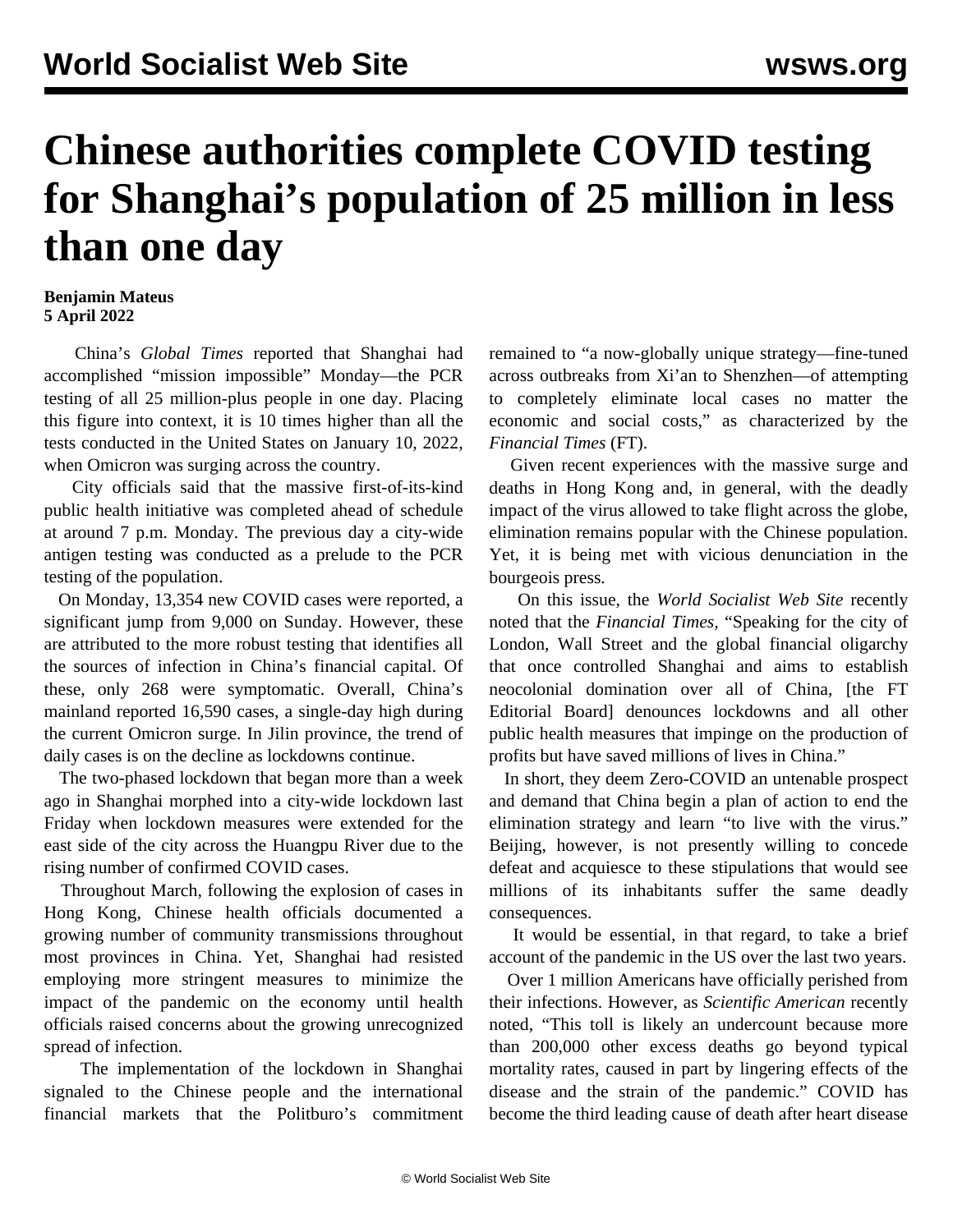## **Chinese authorities complete COVID testing for Shanghai's population of 25 million in less than one day**

## **Benjamin Mateus 5 April 2022**

 China's *Global Times* reported that Shanghai had accomplished "mission impossible" Monday—the PCR testing of all 25 million-plus people in one day. Placing this figure into context, it is 10 times higher than all the tests conducted in the United States on January 10, 2022, when Omicron was surging across the country.

 City officials said that the massive first-of-its-kind public health initiative was completed ahead of schedule at around 7 p.m. Monday. The previous day a city-wide antigen testing was conducted as a prelude to the PCR testing of the population.

 On Monday, 13,354 new COVID cases were reported, a significant jump from 9,000 on Sunday. However, these are attributed to the more robust testing that identifies all the sources of infection in China's financial capital. Of these, only 268 were symptomatic. Overall, China's mainland reported 16,590 cases, a single-day high during the current Omicron surge. In Jilin province, the trend of daily cases is on the decline as lockdowns continue.

 The two-phased lockdown that began more than a week ago in Shanghai morphed into a city-wide lockdown last Friday when lockdown measures were extended for the east side of the city across the Huangpu River due to the rising number of confirmed COVID cases.

 Throughout March, following the explosion of cases in Hong Kong, Chinese health officials documented a growing number of community transmissions throughout most provinces in China. Yet, Shanghai had resisted employing more stringent measures to minimize the impact of the pandemic on the economy until health officials raised concerns about the growing unrecognized spread of infection.

 The implementation of the lockdown in Shanghai signaled to the Chinese people and the international financial markets that the Politburo's commitment remained to "a now-globally unique strategy—fine-tuned across outbreaks from Xi'an to Shenzhen—of attempting to completely eliminate local cases no matter the economic and social costs," as characterized by the *Financial Times* (FT).

 Given recent experiences with the massive surge and deaths in Hong Kong and, in general, with the deadly impact of the virus allowed to take flight across the globe, elimination remains popular with the Chinese population. Yet, it is being met with vicious denunciation in the bourgeois press.

 On this issue, the *World Socialist Web Site* recently noted that the *Financial Times,* "Speaking for the city of London, Wall Street and the global financial oligarchy that once controlled Shanghai and aims to establish neocolonial domination over all of China, [the FT Editorial Board] denounces lockdowns and all other public health measures that impinge on the production of profits but have saved millions of lives in China."

 In short, they deem Zero-COVID an untenable prospect and demand that China begin a plan of action to end the elimination strategy and learn "to live with the virus." Beijing, however, is not presently willing to concede defeat and acquiesce to these stipulations that would see millions of its inhabitants suffer the same deadly consequences.

 It would be essential, in that regard, to take a brief account of the pandemic in the US over the last two years.

 Over 1 million Americans have officially perished from their infections. However, as *Scientific American* recently noted, "This toll is likely an undercount because more than 200,000 other excess deaths go beyond typical mortality rates, caused in part by lingering effects of the disease and the strain of the pandemic." COVID has become the third leading cause of death after heart disease